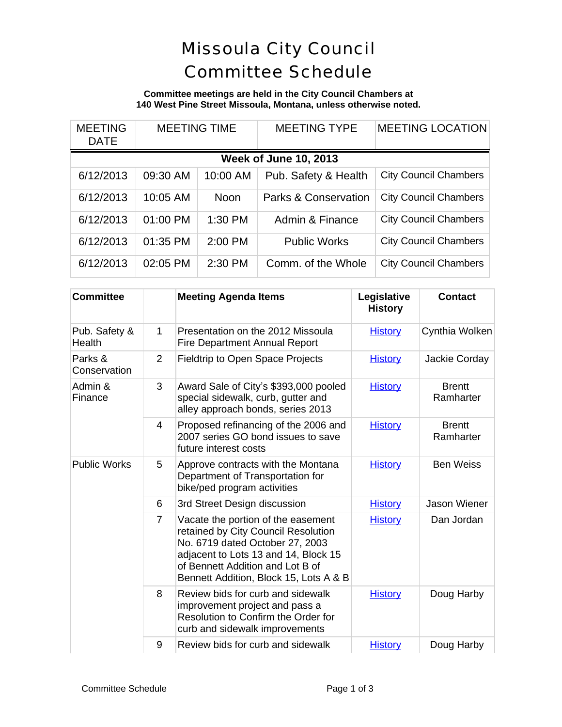# Missoula City Council Committee Schedule

### **Committee meetings are held in the City Council Chambers at 140 West Pine Street Missoula, Montana, unless otherwise noted.**

| <b>MEETING</b><br><b>DATE</b> | <b>MEETING TIME</b> |             | <b>MEETING TYPE</b>             | <b>MEETING LOCATION</b>      |  |  |
|-------------------------------|---------------------|-------------|---------------------------------|------------------------------|--|--|
| <b>Week of June 10, 2013</b>  |                     |             |                                 |                              |  |  |
| 6/12/2013                     | 09:30 AM            | 10:00 AM    | Pub. Safety & Health            | <b>City Council Chambers</b> |  |  |
| 6/12/2013                     | 10:05 AM            | <b>Noon</b> | <b>Parks &amp; Conservation</b> | <b>City Council Chambers</b> |  |  |
| 6/12/2013                     | 01:00 PM            | $1:30$ PM   | Admin & Finance                 | <b>City Council Chambers</b> |  |  |
| 6/12/2013                     | 01:35 PM            | 2:00 PM     | <b>Public Works</b>             | <b>City Council Chambers</b> |  |  |
| 6/12/2013                     | 02:05 PM            | 2:30 PM     | Comm. of the Whole              | <b>City Council Chambers</b> |  |  |

| <b>Committee</b>        |                | <b>Meeting Agenda Items</b>                                                                                                                                                                                                        | Legislative<br><b>History</b> | <b>Contact</b>             |
|-------------------------|----------------|------------------------------------------------------------------------------------------------------------------------------------------------------------------------------------------------------------------------------------|-------------------------------|----------------------------|
| Pub. Safety &<br>Health | $\mathbf{1}$   | Presentation on the 2012 Missoula<br><b>Fire Department Annual Report</b>                                                                                                                                                          | <b>History</b>                | Cynthia Wolken             |
| Parks &<br>Conservation | $\overline{2}$ | <b>Fieldtrip to Open Space Projects</b>                                                                                                                                                                                            | <b>History</b>                | Jackie Corday              |
| Admin &<br>Finance      | 3              | Award Sale of City's \$393,000 pooled<br>special sidewalk, curb, gutter and<br>alley approach bonds, series 2013                                                                                                                   | <b>History</b>                | <b>Brentt</b><br>Ramharter |
|                         | 4              | Proposed refinancing of the 2006 and<br>2007 series GO bond issues to save<br>future interest costs                                                                                                                                | <b>History</b>                | <b>Brentt</b><br>Ramharter |
| <b>Public Works</b>     | 5              | Approve contracts with the Montana<br>Department of Transportation for<br>bike/ped program activities                                                                                                                              | <b>History</b>                | <b>Ben Weiss</b>           |
|                         | 6              | 3rd Street Design discussion                                                                                                                                                                                                       | <b>History</b>                | <b>Jason Wiener</b>        |
|                         | $\overline{7}$ | Vacate the portion of the easement<br>retained by City Council Resolution<br>No. 6719 dated October 27, 2003<br>adjacent to Lots 13 and 14, Block 15<br>of Bennett Addition and Lot B of<br>Bennett Addition, Block 15, Lots A & B | <b>History</b>                | Dan Jordan                 |
|                         | 8              | Review bids for curb and sidewalk<br>improvement project and pass a<br>Resolution to Confirm the Order for<br>curb and sidewalk improvements                                                                                       | <b>History</b>                | Doug Harby                 |
|                         | 9              | Review bids for curb and sidewalk                                                                                                                                                                                                  | <b>History</b>                | Doug Harby                 |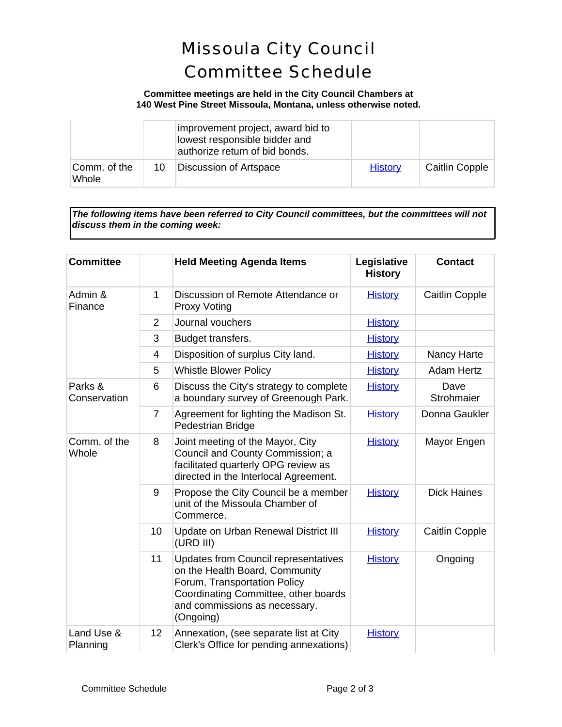### Missoula City Council Committee Schedule

### **Committee meetings are held in the City Council Chambers at 140 West Pine Street Missoula, Montana, unless otherwise noted.**

|                       |    | improvement project, award bid to<br>lowest responsible bidder and<br>authorize return of bid bonds. |                |                |
|-----------------------|----|------------------------------------------------------------------------------------------------------|----------------|----------------|
| Comm. of the<br>Whole | 10 | Discussion of Artspace                                                                               | <b>History</b> | Caitlin Copple |

*The following items have been referred to City Council committees, but the committees will not discuss them in the coming week:*

| <b>Committee</b>        |                | <b>Held Meeting Agenda Items</b>                                                                                                                                                                    | Legislative<br><b>History</b> | <b>Contact</b>        |
|-------------------------|----------------|-----------------------------------------------------------------------------------------------------------------------------------------------------------------------------------------------------|-------------------------------|-----------------------|
| Admin &<br>Finance      | 1              | Discussion of Remote Attendance or<br><b>Proxy Voting</b>                                                                                                                                           | <b>History</b>                | <b>Caitlin Copple</b> |
|                         | 2              | Journal vouchers                                                                                                                                                                                    | <b>History</b>                |                       |
|                         | 3              | Budget transfers.                                                                                                                                                                                   | <b>History</b>                |                       |
|                         | 4              | Disposition of surplus City land.                                                                                                                                                                   | <b>History</b>                | Nancy Harte           |
|                         | 5              | <b>Whistle Blower Policy</b>                                                                                                                                                                        | <b>History</b>                | <b>Adam Hertz</b>     |
| Parks &<br>Conservation | 6              | Discuss the City's strategy to complete<br>a boundary survey of Greenough Park.                                                                                                                     | <b>History</b>                | Dave<br>Strohmaier    |
|                         | $\overline{7}$ | Agreement for lighting the Madison St.<br>Pedestrian Bridge                                                                                                                                         | <b>History</b>                | Donna Gaukler         |
| Comm. of the<br>Whole   | 8              | Joint meeting of the Mayor, City<br>Council and County Commission; a<br>facilitated quarterly OPG review as<br>directed in the Interlocal Agreement.                                                | <b>History</b>                | Mayor Engen           |
|                         | 9              | Propose the City Council be a member<br>unit of the Missoula Chamber of<br>Commerce.                                                                                                                | <b>History</b>                | <b>Dick Haines</b>    |
|                         | 10             | Update on Urban Renewal District III<br>(URD III)                                                                                                                                                   | <b>History</b>                | <b>Caitlin Copple</b> |
|                         | 11             | <b>Updates from Council representatives</b><br>on the Health Board, Community<br>Forum, Transportation Policy<br>Coordinating Committee, other boards<br>and commissions as necessary.<br>(Ongoing) | <b>History</b>                | Ongoing               |
| Land Use &<br>Planning  | 12             | Annexation, (see separate list at City<br>Clerk's Office for pending annexations)                                                                                                                   | <b>History</b>                |                       |